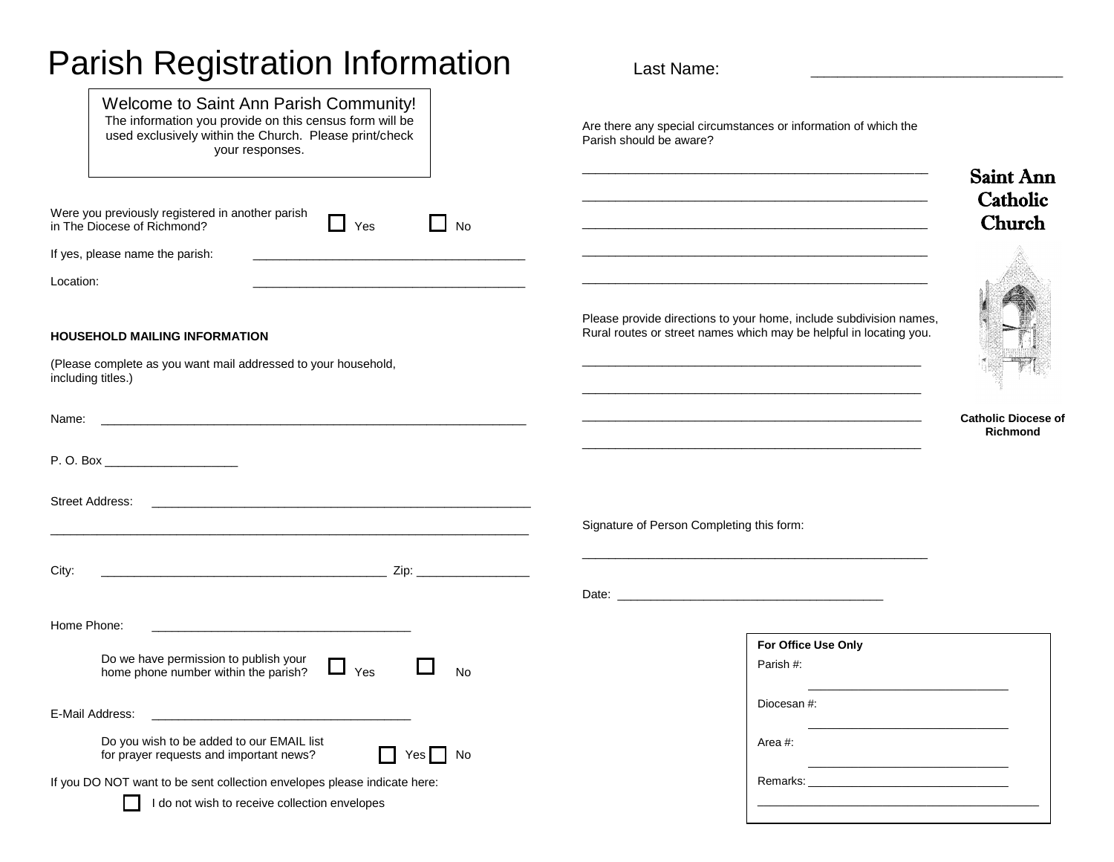## Parish Registration Information Last Name:

| Welcome to Saint Ann Parish Community!<br>The information you provide on this census form will be<br>used exclusively within the Church. Please print/check<br>your responses.                                                 | Are there any special circumstances or information of which the<br>Parish should be aware?                                                                                                                                                     |                                               |
|--------------------------------------------------------------------------------------------------------------------------------------------------------------------------------------------------------------------------------|------------------------------------------------------------------------------------------------------------------------------------------------------------------------------------------------------------------------------------------------|-----------------------------------------------|
| Were you previously registered in another parish<br>$\Box$ Yes<br>$\Box$ No<br>in The Diocese of Richmond?                                                                                                                     | <u> 2000 - Antonio Antonio Antonio Antonio Antonio Antonio Antonio Antonio Antonio Antonio Antonio Antonio Antoni</u><br><u> 1989 - Johann Harry Harry Harry Harry Harry Harry Harry Harry Harry Harry Harry Harry Harry Harry Harry Harry</u> | <b>Saint Ann</b><br>Catholic<br>Church        |
| If yes, please name the parish:                                                                                                                                                                                                |                                                                                                                                                                                                                                                |                                               |
| Location:                                                                                                                                                                                                                      |                                                                                                                                                                                                                                                |                                               |
| <b>HOUSEHOLD MAILING INFORMATION</b><br>(Please complete as you want mail addressed to your household,                                                                                                                         | Please provide directions to your home, include subdivision names,<br>Rural routes or street names which may be helpful in locating you.                                                                                                       |                                               |
| including titles.)                                                                                                                                                                                                             |                                                                                                                                                                                                                                                |                                               |
| <u> 1989 - Johann Harry Harry Harry Harry Harry Harry Harry Harry Harry Harry Harry Harry Harry Harry Harry Harry</u><br>Name:                                                                                                 |                                                                                                                                                                                                                                                | <b>Catholic Diocese of</b><br><b>Richmond</b> |
| P. O. Box _______________________                                                                                                                                                                                              |                                                                                                                                                                                                                                                |                                               |
| Street Address: Weblater and the contract of the contract of the contract of the contract of the contract of the contract of the contract of the contract of the contract of the contract of the contract of the contract of t | Signature of Person Completing this form:                                                                                                                                                                                                      |                                               |
| City:                                                                                                                                                                                                                          |                                                                                                                                                                                                                                                |                                               |
|                                                                                                                                                                                                                                |                                                                                                                                                                                                                                                |                                               |
| Home Phone:                                                                                                                                                                                                                    |                                                                                                                                                                                                                                                |                                               |
| Do we have permission to publish your<br>home phone number within the parish?<br><b>No</b>                                                                                                                                     | For Office Use Only<br>Parish#:                                                                                                                                                                                                                |                                               |
| E-Mail Address:<br><u> 1989 - Johann John Stein, markin fan it ferskearre fan it ferskearre fan it ferskearre fan it ferskearre fan</u>                                                                                        | Diocesan #:                                                                                                                                                                                                                                    |                                               |
| Do you wish to be added to our EMAIL list<br>for prayer requests and important news?<br>$\Box$<br>Yes No                                                                                                                       | Area #:                                                                                                                                                                                                                                        |                                               |
| If you DO NOT want to be sent collection envelopes please indicate here:<br>I do not wish to receive collection envelopes                                                                                                      |                                                                                                                                                                                                                                                |                                               |

 $\mathcal{L}$ 

\_\_\_\_\_\_\_\_\_\_\_\_\_\_\_\_\_\_\_\_\_\_\_\_\_\_\_\_\_\_\_\_\_\_\_\_\_\_